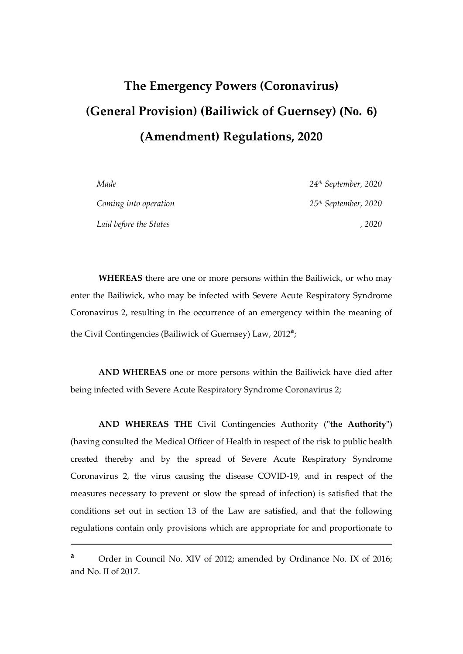# **The Emergency Powers (Coronavirus) (General Provision) (Bailiwick of Guernsey) (No. 6) (Amendment) Regulations, 2020**

| Made                   | $24$ <sup>th</sup> September, 2020 |
|------------------------|------------------------------------|
| Coming into operation  | 25 <sup>th</sup> September, 2020   |
| Laid before the States | 2020                               |

**WHEREAS** there are one or more persons within the Bailiwick, or who may enter the Bailiwick, who may be infected with Severe Acute Respiratory Syndrome Coronavirus 2, resulting in the occurrence of an emergency within the meaning of the Civil Contingencies (Bailiwick of Guernsey) Law, 2012**<sup>a</sup>** ;

**AND WHEREAS** one or more persons within the Bailiwick have died after being infected with Severe Acute Respiratory Syndrome Coronavirus 2;

**AND WHEREAS THE** Civil Contingencies Authority (**"the Authority"**) (having consulted the Medical Officer of Health in respect of the risk to public health created thereby and by the spread of Severe Acute Respiratory Syndrome Coronavirus 2, the virus causing the disease COVID-19, and in respect of the measures necessary to prevent or slow the spread of infection) is satisfied that the conditions set out in section 13 of the Law are satisfied, and that the following regulations contain only provisions which are appropriate for and proportionate to

1

**<sup>a</sup>** Order in Council No. XIV of 2012; amended by Ordinance No. IX of 2016; and No. II of 2017.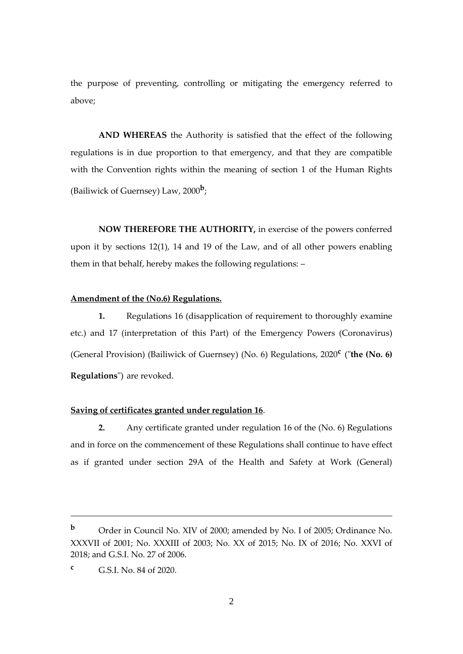the purpose of preventing, controlling or mitigating the emergency referred to above;

**AND WHEREAS** the Authority is satisfied that the effect of the following regulations is in due proportion to that emergency, and that they are compatible with the Convention rights within the meaning of section 1 of the Human Rights (Bailiwick of Guernsey) Law, 2000**<sup>b</sup>** ;

**NOW THEREFORE THE AUTHORITY,** in exercise of the powers conferred upon it by sections 12(1), 14 and 19 of the Law, and of all other powers enabling them in that behalf, hereby makes the following regulations: –

#### **Amendment of the (No.6) Regulations.**

**1.** Regulations 16 (disapplication of requirement to thoroughly examine etc.) and 17 (interpretation of this Part) of the Emergency Powers (Coronavirus) (General Provision) (Bailiwick of Guernsey) (No. 6) Regulations, 2020**<sup>c</sup>** ("**the (No. 6) Regulations**") are revoked.

#### **Saving of certificates granted under regulation 16**.

**2.** Any certificate granted under regulation 16 of the (No. 6) Regulations and in force on the commencement of these Regulations shall continue to have effect as if granted under section 29A of the Health and Safety at Work (General)

1

**<sup>b</sup>** Order in Council No. XIV of 2000; amended by No. I of 2005; Ordinance No. XXXVII of 2001; No. XXXIII of 2003; No. XX of 2015; No. IX of 2016; No. XXVI of 2018; and G.S.I. No. 27 of 2006.

**<sup>c</sup>** G.S.I. No. 84 of 2020.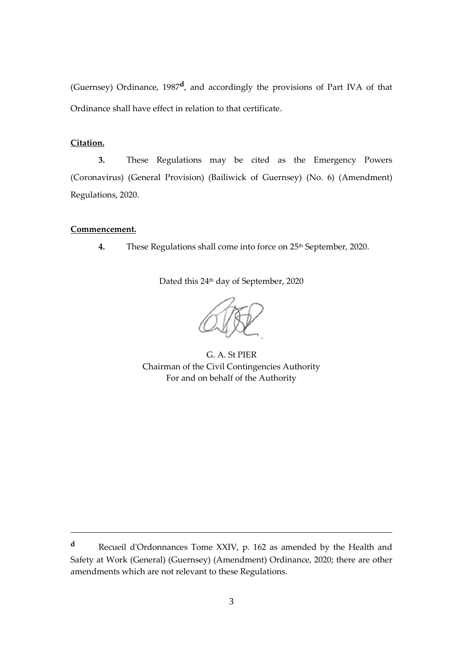(Guernsey) Ordinance, 1987**<sup>d</sup>** , and accordingly the provisions of Part IVA of that Ordinance shall have effect in relation to that certificate.

### **Citation.**

**3.** These Regulations may be cited as the Emergency Powers (Coronavirus) (General Provision) (Bailiwick of Guernsey) (No. 6) (Amendment) Regulations, 2020.

## **Commencement.**

<u>.</u>

4. These Regulations shall come into force on 25<sup>th</sup> September, 2020.

Dated this 24th day of September, 2020

G. A. St PIER Chairman of the Civil Contingencies Authority For and on behalf of the Authority

**<sup>d</sup>** Recueil d'Ordonnances Tome XXIV, p. 162 as amended by the Health and Safety at Work (General) (Guernsey) (Amendment) Ordinance, 2020; there are other amendments which are not relevant to these Regulations.